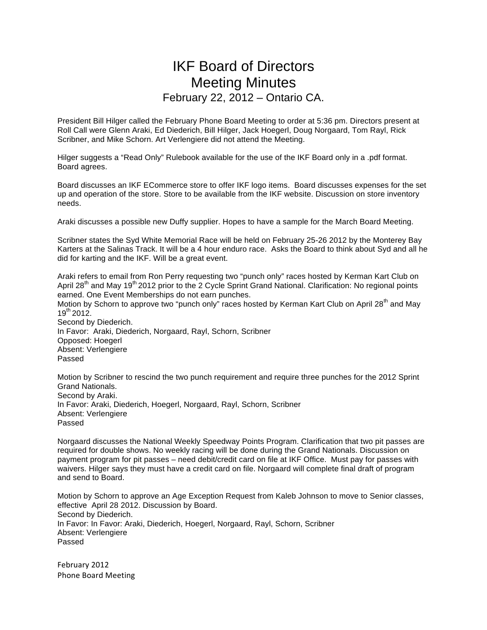## IKF Board of Directors Meeting Minutes February 22, 2012 – Ontario CA.

President Bill Hilger called the February Phone Board Meeting to order at 5:36 pm. Directors present at Roll Call were Glenn Araki, Ed Diederich, Bill Hilger, Jack Hoegerl, Doug Norgaard, Tom Rayl, Rick Scribner, and Mike Schorn. Art Verlengiere did not attend the Meeting.

Hilger suggests a "Read Only" Rulebook available for the use of the IKF Board only in a .pdf format. Board agrees.

Board discusses an IKF ECommerce store to offer IKF logo items. Board discusses expenses for the set up and operation of the store. Store to be available from the IKF website. Discussion on store inventory needs.

Araki discusses a possible new Duffy supplier. Hopes to have a sample for the March Board Meeting.

Scribner states the Syd White Memorial Race will be held on February 25-26 2012 by the Monterey Bay Karters at the Salinas Track. It will be a 4 hour enduro race. Asks the Board to think about Syd and all he did for karting and the IKF. Will be a great event.

Araki refers to email from Ron Perry requesting two "punch only" races hosted by Kerman Kart Club on April 28<sup>th</sup> and May 19<sup>th</sup> 2012 prior to the 2 Cycle Sprint Grand National. Clarification: No regional points earned. One Event Memberships do not earn punches.

Motion by Schorn to approve two "punch only" races hosted by Kerman Kart Club on April 28<sup>th</sup> and Mav 19th 2012.

Second by Diederich. In Favor: Araki, Diederich, Norgaard, Rayl, Schorn, Scribner Opposed: Hoegerl Absent: Verlengiere Passed

Motion by Scribner to rescind the two punch requirement and require three punches for the 2012 Sprint Grand Nationals. Second by Araki. In Favor: Araki, Diederich, Hoegerl, Norgaard, Rayl, Schorn, Scribner Absent: Verlengiere Passed

Norgaard discusses the National Weekly Speedway Points Program. Clarification that two pit passes are required for double shows. No weekly racing will be done during the Grand Nationals. Discussion on payment program for pit passes – need debit/credit card on file at IKF Office. Must pay for passes with waivers. Hilger says they must have a credit card on file. Norgaard will complete final draft of program and send to Board.

Motion by Schorn to approve an Age Exception Request from Kaleb Johnson to move to Senior classes, effective April 28 2012. Discussion by Board. Second by Diederich. In Favor: In Favor: Araki, Diederich, Hoegerl, Norgaard, Rayl, Schorn, Scribner Absent: Verlengiere Passed

February 2012 Phone Board Meeting